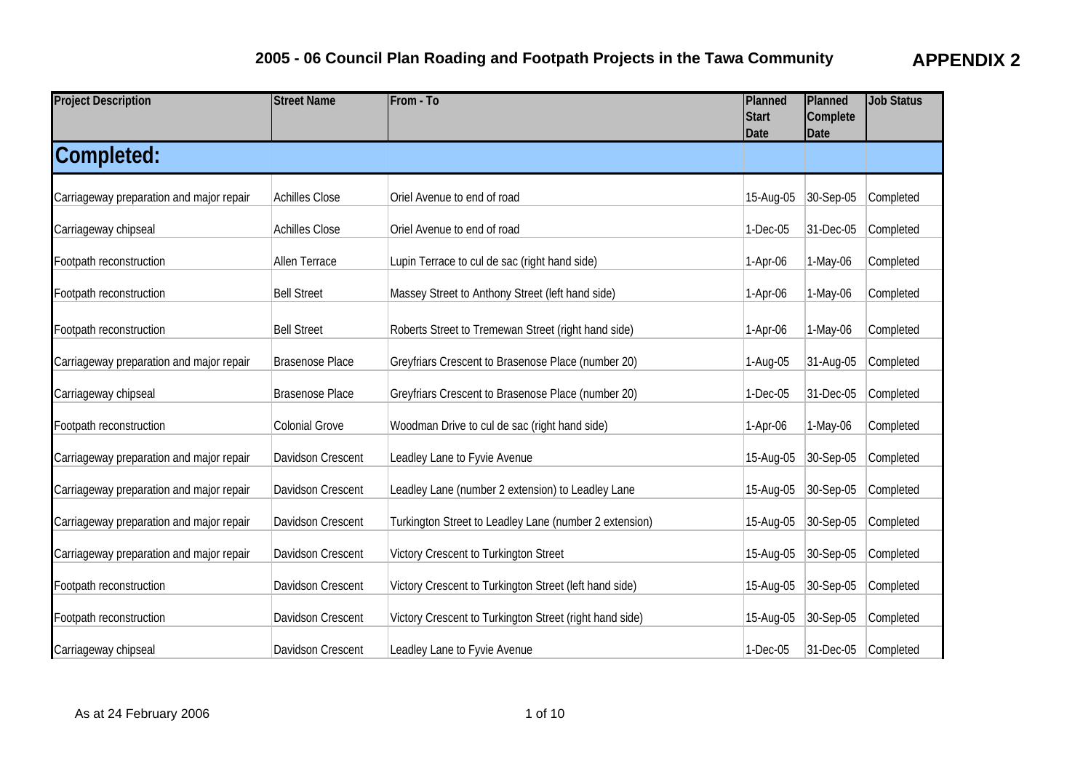| <b>Project Description</b>               | <b>Street Name</b>     | From - To                                               | Planned<br><b>Start</b><br><b>Date</b> | Planned<br>Complete<br>Date | <b>Job Status</b> |
|------------------------------------------|------------------------|---------------------------------------------------------|----------------------------------------|-----------------------------|-------------------|
| Completed:                               |                        |                                                         |                                        |                             |                   |
| Carriageway preparation and major repair | <b>Achilles Close</b>  | Oriel Avenue to end of road                             | 15-Aug-05                              | 30-Sep-05                   | Completed         |
| Carriageway chipseal                     | <b>Achilles Close</b>  | Oriel Avenue to end of road                             | 1-Dec-05                               | 31-Dec-05                   | Completed         |
| Footpath reconstruction                  | Allen Terrace          | Lupin Terrace to cul de sac (right hand side)           | 1-Apr-06                               | 1-May-06                    | Completed         |
| Footpath reconstruction                  | <b>Bell Street</b>     | Massey Street to Anthony Street (left hand side)        | $1-Apr-06$                             | 1-May-06                    | Completed         |
| Footpath reconstruction                  | <b>Bell Street</b>     | Roberts Street to Tremewan Street (right hand side)     | $1-Apr-06$                             | 1-May-06                    | Completed         |
| Carriageway preparation and major repair | <b>Brasenose Place</b> | Greyfriars Crescent to Brasenose Place (number 20)      | 1-Aug-05                               | 31-Aug-05                   | Completed         |
| Carriageway chipseal                     | <b>Brasenose Place</b> | Greyfriars Crescent to Brasenose Place (number 20)      | 1-Dec-05                               | 31-Dec-05                   | Completed         |
| Footpath reconstruction                  | <b>Colonial Grove</b>  | Woodman Drive to cul de sac (right hand side)           | 1-Apr-06                               | 1-May-06                    | Completed         |
| Carriageway preparation and major repair | Davidson Crescent      | Leadley Lane to Fyvie Avenue                            | 15-Aug-05                              | 30-Sep-05                   | Completed         |
| Carriageway preparation and major repair | Davidson Crescent      | Leadley Lane (number 2 extension) to Leadley Lane       | 15-Aug-05                              | 30-Sep-05                   | Completed         |
| Carriageway preparation and major repair | Davidson Crescent      | Turkington Street to Leadley Lane (number 2 extension)  | 15-Aug-05                              | 30-Sep-05                   | Completed         |
| Carriageway preparation and major repair | Davidson Crescent      | Victory Crescent to Turkington Street                   | 15-Aug-05                              | 30-Sep-05                   | Completed         |
| Footpath reconstruction                  | Davidson Crescent      | Victory Crescent to Turkington Street (left hand side)  | 15-Aug-05                              | 30-Sep-05                   | Completed         |
| Footpath reconstruction                  | Davidson Crescent      | Victory Crescent to Turkington Street (right hand side) | 15-Aug-05                              | 30-Sep-05                   | Completed         |
| Carriageway chipseal                     | Davidson Crescent      | Leadley Lane to Fyvie Avenue                            | 1-Dec-05                               | 31-Dec-05                   | Completed         |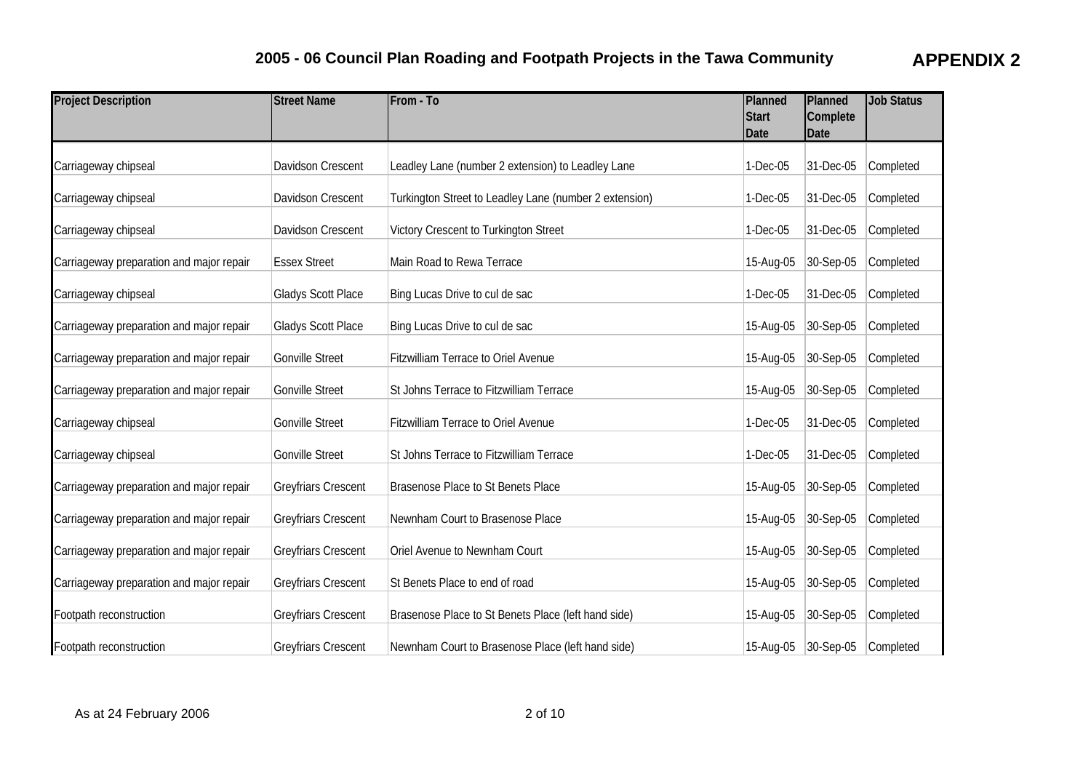| <b>Project Description</b>               | <b>Street Name</b>         | From - To                                              | Planned<br><b>Start</b><br>Date | Planned<br>Complete<br><b>Date</b> | <b>Job Status</b> |
|------------------------------------------|----------------------------|--------------------------------------------------------|---------------------------------|------------------------------------|-------------------|
| Carriageway chipseal                     | Davidson Crescent          | Leadley Lane (number 2 extension) to Leadley Lane      | 1-Dec-05                        | 31-Dec-05                          | Completed         |
| Carriageway chipseal                     | Davidson Crescent          | Turkington Street to Leadley Lane (number 2 extension) | 1-Dec-05                        | 31-Dec-05                          | Completed         |
| Carriageway chipseal                     | Davidson Crescent          | Victory Crescent to Turkington Street                  | 1-Dec-05                        | 31-Dec-05                          | Completed         |
| Carriageway preparation and major repair | <b>Essex Street</b>        | Main Road to Rewa Terrace                              | 15-Aug-05                       | 30-Sep-05                          | Completed         |
| Carriageway chipseal                     | <b>Gladys Scott Place</b>  | Bing Lucas Drive to cul de sac                         | 1-Dec-05                        | 31-Dec-05                          | Completed         |
| Carriageway preparation and major repair | <b>Gladys Scott Place</b>  | Bing Lucas Drive to cul de sac                         | 15-Aug-05                       | 30-Sep-05                          | Completed         |
| Carriageway preparation and major repair | <b>Gonville Street</b>     | <b>Fitzwilliam Terrace to Oriel Avenue</b>             | 15-Aug-05                       | 30-Sep-05                          | Completed         |
| Carriageway preparation and major repair | <b>Gonville Street</b>     | St Johns Terrace to Fitzwilliam Terrace                | 15-Aug-05                       | 30-Sep-05                          | Completed         |
| Carriageway chipseal                     | <b>Gonville Street</b>     | <b>Fitzwilliam Terrace to Oriel Avenue</b>             | 1-Dec-05                        | 31-Dec-05                          | Completed         |
| Carriageway chipseal                     | <b>Gonville Street</b>     | St Johns Terrace to Fitzwilliam Terrace                | 1-Dec-05                        | 31-Dec-05                          | Completed         |
| Carriageway preparation and major repair | <b>Greyfriars Crescent</b> | Brasenose Place to St Benets Place                     | 15-Aug-05                       | 30-Sep-05                          | Completed         |
| Carriageway preparation and major repair | <b>Greyfriars Crescent</b> | Newnham Court to Brasenose Place                       | 15-Aug-05                       | 30-Sep-05                          | Completed         |
| Carriageway preparation and major repair | <b>Greyfriars Crescent</b> | Oriel Avenue to Newnham Court                          | 15-Aug-05                       | 30-Sep-05                          | Completed         |
| Carriageway preparation and major repair | <b>Greyfriars Crescent</b> | St Benets Place to end of road                         | 15-Aug-05                       | 30-Sep-05                          | Completed         |
| Footpath reconstruction                  | Greyfriars Crescent        | Brasenose Place to St Benets Place (left hand side)    | 15-Aug-05                       | 30-Sep-05                          | Completed         |
| Footpath reconstruction                  | <b>Greyfriars Crescent</b> | Newnham Court to Brasenose Place (left hand side)      |                                 | 15-Aug-05 30-Sep-05                | Completed         |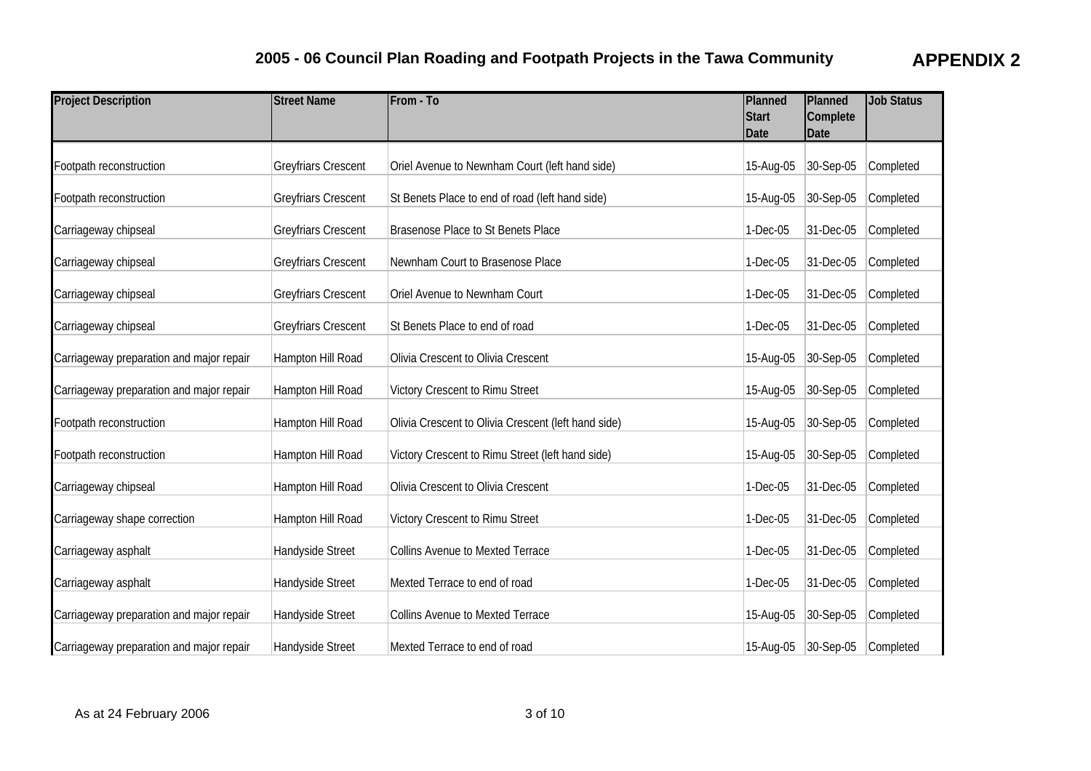| <b>Project Description</b>               | <b>Street Name</b>         | From - To                                           | Planned<br><b>Start</b><br>Date | Planned<br>Complete<br>Date | <b>Job Status</b> |
|------------------------------------------|----------------------------|-----------------------------------------------------|---------------------------------|-----------------------------|-------------------|
| Footpath reconstruction                  | <b>Greyfriars Crescent</b> | Oriel Avenue to Newnham Court (left hand side)      | 15-Aug-05                       | 30-Sep-05                   | Completed         |
| Footpath reconstruction                  | <b>Greyfriars Crescent</b> | St Benets Place to end of road (left hand side)     | 15-Aug-05                       | 30-Sep-05                   | Completed         |
| Carriageway chipseal                     | <b>Greyfriars Crescent</b> | <b>Brasenose Place to St Benets Place</b>           | 1-Dec-05                        | 31-Dec-05                   | Completed         |
| Carriageway chipseal                     | <b>Greyfriars Crescent</b> | Newnham Court to Brasenose Place                    | 1-Dec-05                        | 31-Dec-05                   | Completed         |
| Carriageway chipseal                     | <b>Greyfriars Crescent</b> | Oriel Avenue to Newnham Court                       | 1-Dec-05                        | 31-Dec-05                   | Completed         |
| Carriageway chipseal                     | <b>Greyfriars Crescent</b> | St Benets Place to end of road                      | 1-Dec-05                        | 31-Dec-05                   | Completed         |
| Carriageway preparation and major repair | Hampton Hill Road          | Olivia Crescent to Olivia Crescent                  | 15-Aug-05                       | 30-Sep-05                   | Completed         |
| Carriageway preparation and major repair | Hampton Hill Road          | Victory Crescent to Rimu Street                     | 15-Aug-05                       | 30-Sep-05                   | Completed         |
| Footpath reconstruction                  | Hampton Hill Road          | Olivia Crescent to Olivia Crescent (left hand side) | 15-Aug-05                       | 30-Sep-05                   | Completed         |
| Footpath reconstruction                  | Hampton Hill Road          | Victory Crescent to Rimu Street (left hand side)    | 15-Aug-05                       | 30-Sep-05                   | Completed         |
| Carriageway chipseal                     | Hampton Hill Road          | Olivia Crescent to Olivia Crescent                  | 1-Dec-05                        | 31-Dec-05                   | Completed         |
| Carriageway shape correction             | Hampton Hill Road          | Victory Crescent to Rimu Street                     | 1-Dec-05                        | 31-Dec-05                   | Completed         |
| Carriageway asphalt                      | Handyside Street           | <b>Collins Avenue to Mexted Terrace</b>             | 1-Dec-05                        | 31-Dec-05                   | Completed         |
| Carriageway asphalt                      | Handyside Street           | Mexted Terrace to end of road                       | 1-Dec-05                        | 31-Dec-05                   | Completed         |
| Carriageway preparation and major repair | Handyside Street           | <b>Collins Avenue to Mexted Terrace</b>             | 15-Aug-05                       | 30-Sep-05                   | Completed         |
| Carriageway preparation and major repair | Handyside Street           | Mexted Terrace to end of road                       |                                 | 15-Aug-05 30-Sep-05         | Completed         |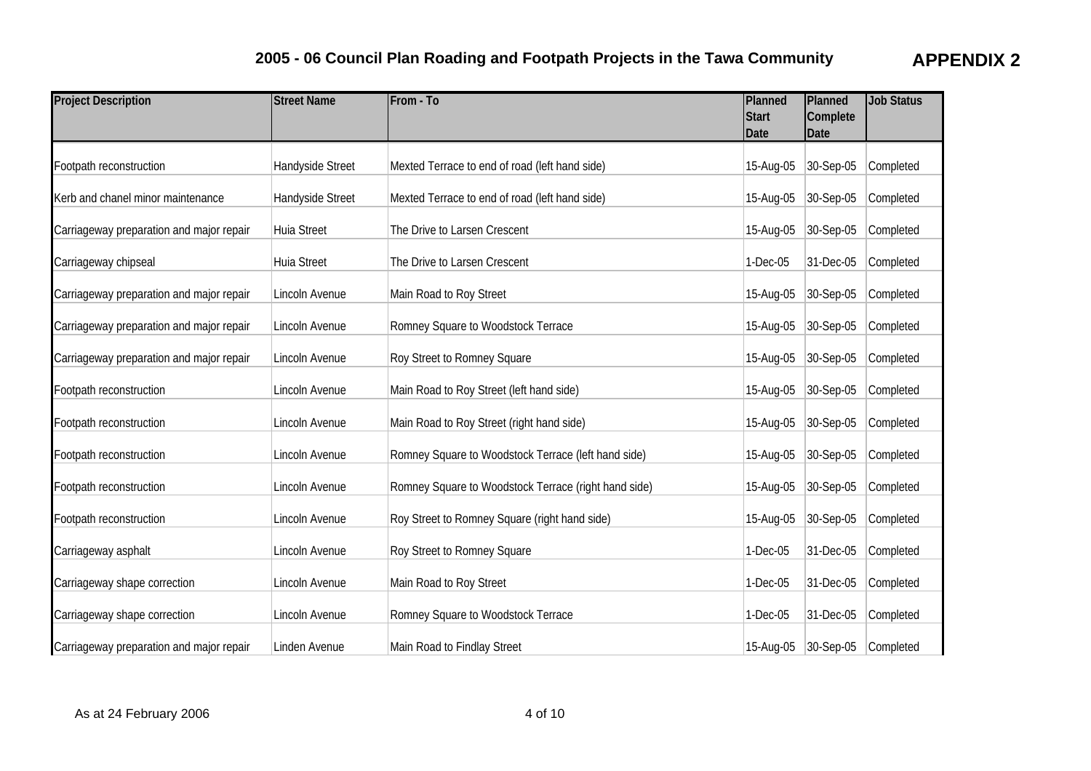| <b>Project Description</b>               | <b>Street Name</b> | From - To                                            | Planned<br>Start<br>Date | Planned<br>Complete<br>Date | <b>Job Status</b> |
|------------------------------------------|--------------------|------------------------------------------------------|--------------------------|-----------------------------|-------------------|
| Footpath reconstruction                  | Handyside Street   | Mexted Terrace to end of road (left hand side)       | 15-Aug-05                | 30-Sep-05                   | Completed         |
| Kerb and chanel minor maintenance        | Handyside Street   | Mexted Terrace to end of road (left hand side)       | 15-Aug-05                | 30-Sep-05                   | Completed         |
| Carriageway preparation and major repair | <b>Huia Street</b> | The Drive to Larsen Crescent                         | 15-Aug-05                | 30-Sep-05                   | Completed         |
| Carriageway chipseal                     | Huia Street        | The Drive to Larsen Crescent                         | 1-Dec-05                 | 31-Dec-05                   | Completed         |
| Carriageway preparation and major repair | Lincoln Avenue     | Main Road to Roy Street                              | 15-Aug-05                | 30-Sep-05                   | Completed         |
| Carriageway preparation and major repair | Lincoln Avenue     | Romney Square to Woodstock Terrace                   | 15-Aug-05                | 30-Sep-05                   | Completed         |
| Carriageway preparation and major repair | Lincoln Avenue     | Roy Street to Romney Square                          | 15-Aug-05                | 30-Sep-05                   | Completed         |
| Footpath reconstruction                  | Lincoln Avenue     | Main Road to Roy Street (left hand side)             | 15-Aug-05                | 30-Sep-05                   | Completed         |
| Footpath reconstruction                  | Lincoln Avenue     | Main Road to Roy Street (right hand side)            | 15-Aug-05                | 30-Sep-05                   | Completed         |
| Footpath reconstruction                  | Lincoln Avenue     | Romney Square to Woodstock Terrace (left hand side)  | 15-Aug-05                | 30-Sep-05                   | Completed         |
| Footpath reconstruction                  | Lincoln Avenue     | Romney Square to Woodstock Terrace (right hand side) | 15-Aug-05                | 30-Sep-05                   | Completed         |
| Footpath reconstruction                  | Lincoln Avenue     | Roy Street to Romney Square (right hand side)        | 15-Aug-05                | 30-Sep-05                   | Completed         |
| Carriageway asphalt                      | Lincoln Avenue     | Roy Street to Romney Square                          | 1-Dec-05                 | 31-Dec-05                   | Completed         |
| Carriageway shape correction             | Lincoln Avenue     | Main Road to Roy Street                              | 1-Dec-05                 | 31-Dec-05                   | Completed         |
| Carriageway shape correction             | Lincoln Avenue     | Romney Square to Woodstock Terrace                   | 1-Dec-05                 | 31-Dec-05                   | Completed         |
| Carriageway preparation and major repair | Linden Avenue      | Main Road to Findlay Street                          | 15-Aug-05                | $ 30-Sep-05 $               | Completed         |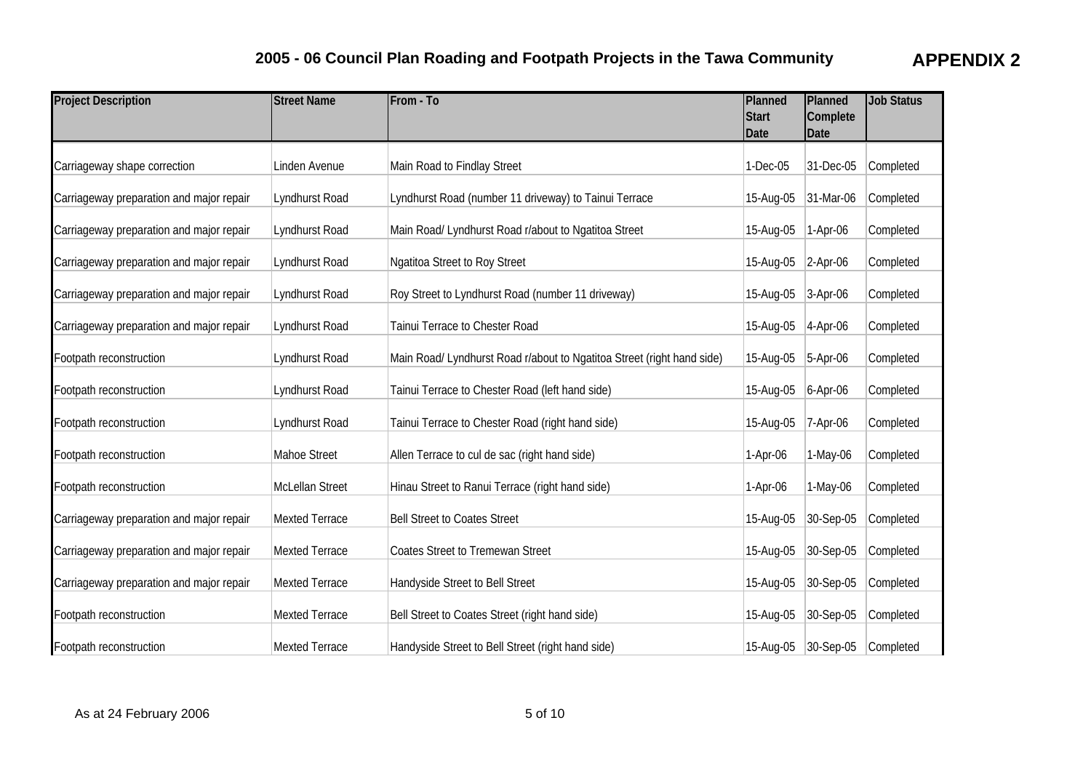| <b>Project Description</b>               | <b>Street Name</b>    | From - To                                                              | Planned<br><b>Start</b><br><b>Date</b> | Planned<br>Complete<br><b>Date</b> | <b>Job Status</b> |
|------------------------------------------|-----------------------|------------------------------------------------------------------------|----------------------------------------|------------------------------------|-------------------|
| Carriageway shape correction             | Linden Avenue         | Main Road to Findlay Street                                            | 1-Dec-05                               | 31-Dec-05                          | Completed         |
| Carriageway preparation and major repair | Lyndhurst Road        | Lyndhurst Road (number 11 driveway) to Tainui Terrace                  | 15-Aug-05                              | 31-Mar-06                          | Completed         |
| Carriageway preparation and major repair | Lyndhurst Road        | Main Road/ Lyndhurst Road r/about to Ngatitoa Street                   | 15-Aug-05                              | 1-Apr-06                           | Completed         |
| Carriageway preparation and major repair | Lyndhurst Road        | Ngatitoa Street to Roy Street                                          | 15-Aug-05                              | $ 2-Apr-06 $                       | Completed         |
| Carriageway preparation and major repair | Lyndhurst Road        | Roy Street to Lyndhurst Road (number 11 driveway)                      | 15-Aug-05                              | $3-Apr-06$                         | Completed         |
| Carriageway preparation and major repair | Lyndhurst Road        | Tainui Terrace to Chester Road                                         | 15-Aug-05                              | $4-Apr-06$                         | Completed         |
| Footpath reconstruction                  | Lyndhurst Road        | Main Road/ Lyndhurst Road r/about to Ngatitoa Street (right hand side) | 15-Aug-05                              | 5-Apr-06                           | Completed         |
| Footpath reconstruction                  | Lyndhurst Road        | Tainui Terrace to Chester Road (left hand side)                        | 15-Aug-05                              | $6-Apr-06$                         | Completed         |
| Footpath reconstruction                  | Lyndhurst Road        | Tainui Terrace to Chester Road (right hand side)                       | 15-Aug-05                              | 7-Apr-06                           | Completed         |
| Footpath reconstruction                  | Mahoe Street          | Allen Terrace to cul de sac (right hand side)                          | 1-Apr-06                               | 1-May-06                           | Completed         |
| Footpath reconstruction                  | McLellan Street       | Hinau Street to Ranui Terrace (right hand side)                        | 1-Apr-06                               | 1-May-06                           | Completed         |
| Carriageway preparation and major repair | <b>Mexted Terrace</b> | <b>Bell Street to Coates Street</b>                                    | 15-Aug-05                              | 30-Sep-05                          | Completed         |
| Carriageway preparation and major repair | Mexted Terrace        | <b>Coates Street to Tremewan Street</b>                                | 15-Aug-05                              | 30-Sep-05                          | Completed         |
| Carriageway preparation and major repair | <b>Mexted Terrace</b> | Handyside Street to Bell Street                                        | 15-Aug-05                              | 30-Sep-05                          | Completed         |
| Footpath reconstruction                  | Mexted Terrace        | Bell Street to Coates Street (right hand side)                         | 15-Aug-05                              | 30-Sep-05                          | Completed         |
| Footpath reconstruction                  | <b>Mexted Terrace</b> | Handyside Street to Bell Street (right hand side)                      | 15-Aug-05                              | $ 30-Sep-05$                       | Completed         |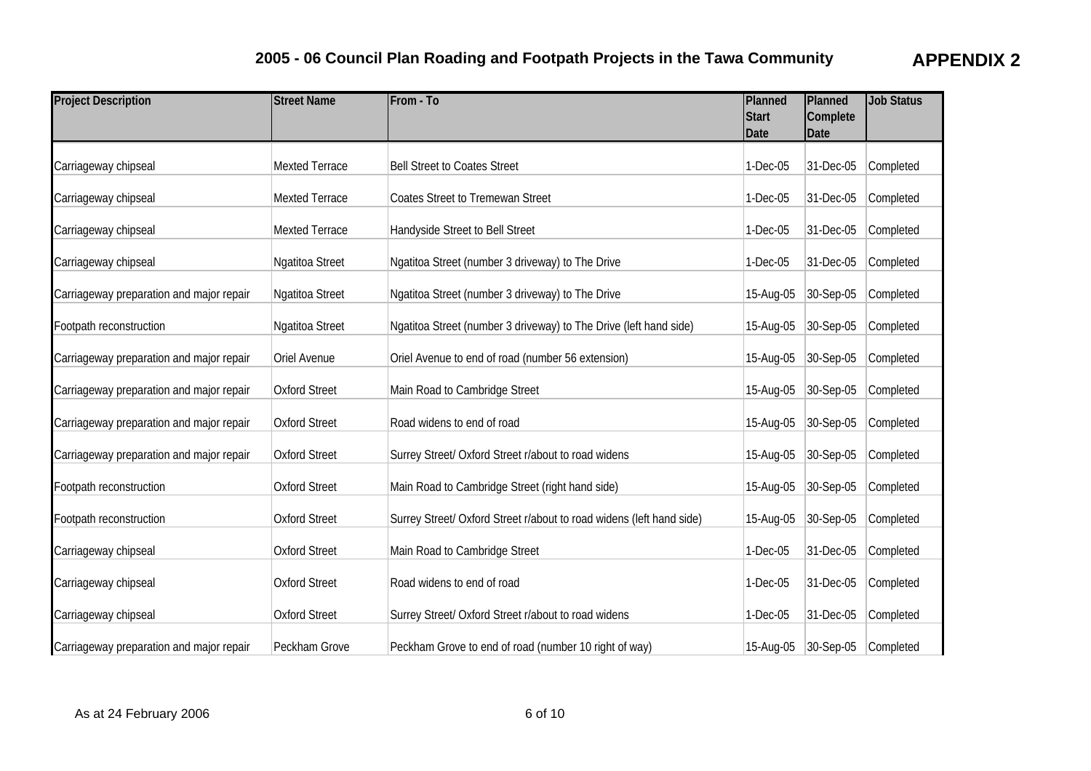| <b>Project Description</b>               | <b>Street Name</b>    | From - To                                                            | Planned<br><b>Start</b><br><b>Date</b> | Planned<br>Complete<br><b>Date</b> | <b>Job Status</b> |
|------------------------------------------|-----------------------|----------------------------------------------------------------------|----------------------------------------|------------------------------------|-------------------|
| Carriageway chipseal                     | <b>Mexted Terrace</b> | <b>Bell Street to Coates Street</b>                                  | 1-Dec-05                               | 31-Dec-05                          | Completed         |
| Carriageway chipseal                     | <b>Mexted Terrace</b> | <b>Coates Street to Tremewan Street</b>                              | 1-Dec-05                               | 31-Dec-05                          | Completed         |
| Carriageway chipseal                     | <b>Mexted Terrace</b> | Handyside Street to Bell Street                                      | 1-Dec-05                               | 31-Dec-05                          | Completed         |
| Carriageway chipseal                     | Ngatitoa Street       | Ngatitoa Street (number 3 driveway) to The Drive                     | 1-Dec-05                               | 31-Dec-05                          | Completed         |
| Carriageway preparation and major repair | Ngatitoa Street       | Ngatitoa Street (number 3 driveway) to The Drive                     | 15-Aug-05                              | 30-Sep-05                          | Completed         |
| Footpath reconstruction                  | Ngatitoa Street       | Ngatitoa Street (number 3 driveway) to The Drive (left hand side)    | 15-Aug-05                              | 30-Sep-05                          | Completed         |
| Carriageway preparation and major repair | Oriel Avenue          | Oriel Avenue to end of road (number 56 extension)                    | 15-Aug-05                              | 30-Sep-05                          | Completed         |
| Carriageway preparation and major repair | <b>Oxford Street</b>  | Main Road to Cambridge Street                                        | 15-Aug-05                              | $ 30 - \text{Sep-05} $             | Completed         |
| Carriageway preparation and major repair | <b>Oxford Street</b>  | Road widens to end of road                                           | 15-Aug-05                              | 30-Sep-05                          | Completed         |
| Carriageway preparation and major repair | <b>Oxford Street</b>  | Surrey Street/ Oxford Street r/about to road widens                  | 15-Aug-05                              | 30-Sep-05                          | Completed         |
| Footpath reconstruction                  | <b>Oxford Street</b>  | Main Road to Cambridge Street (right hand side)                      | 15-Aug-05                              | 30-Sep-05                          | Completed         |
| Footpath reconstruction                  | <b>Oxford Street</b>  | Surrey Street/ Oxford Street r/about to road widens (left hand side) | 15-Aug-05                              | 30-Sep-05                          | Completed         |
| Carriageway chipseal                     | <b>Oxford Street</b>  | Main Road to Cambridge Street                                        | 1-Dec-05                               | 31-Dec-05                          | Completed         |
| Carriageway chipseal                     | <b>Oxford Street</b>  | Road widens to end of road                                           | $1-Dec-05$                             | 31-Dec-05                          | Completed         |
| Carriageway chipseal                     | <b>Oxford Street</b>  | Surrey Street/ Oxford Street r/about to road widens                  | 1-Dec-05                               | 31-Dec-05                          | Completed         |
| Carriageway preparation and major repair | Peckham Grove         | Peckham Grove to end of road (number 10 right of way)                | 15-Aug-05                              | $ 30-Sep-05 $                      | Completed         |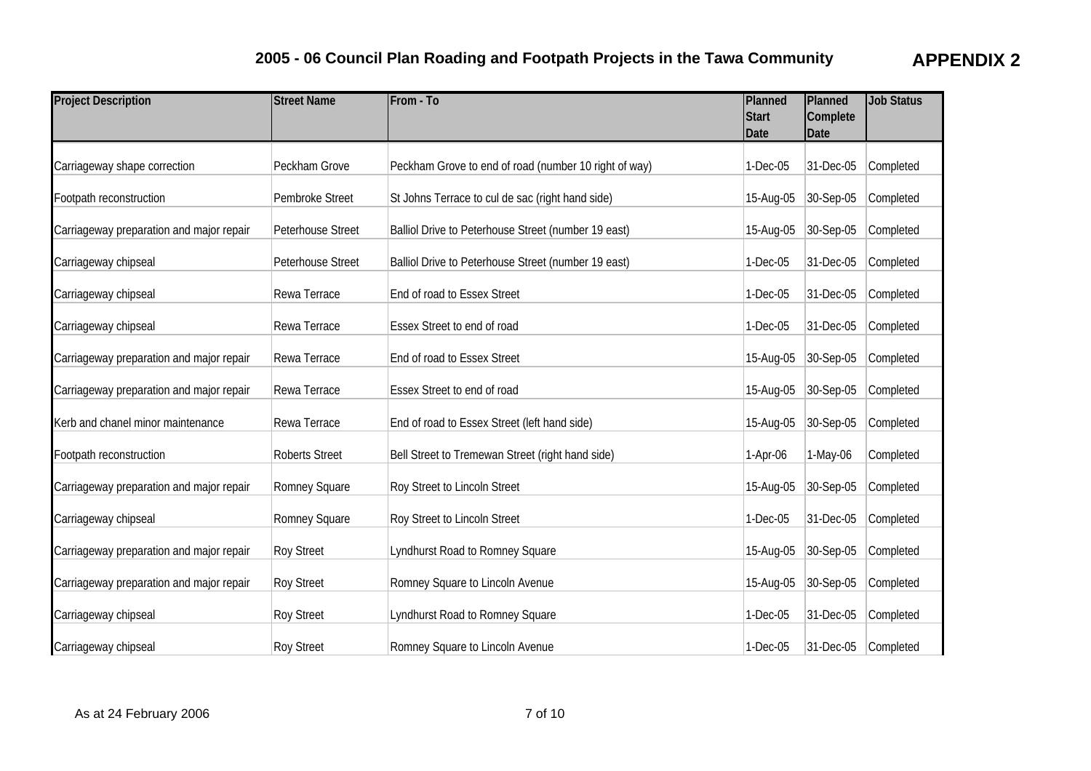| <b>Project Description</b>               | <b>Street Name</b>    | From - To                                             | Planned<br><b>Start</b><br><b>Date</b> | Planned<br>Complete<br><b>Date</b> | <b>Job Status</b> |
|------------------------------------------|-----------------------|-------------------------------------------------------|----------------------------------------|------------------------------------|-------------------|
| Carriageway shape correction             | Peckham Grove         | Peckham Grove to end of road (number 10 right of way) | 1-Dec-05                               | 31-Dec-05                          | Completed         |
| Footpath reconstruction                  | Pembroke Street       | St Johns Terrace to cul de sac (right hand side)      | 15-Aug-05                              | 30-Sep-05                          | Completed         |
| Carriageway preparation and major repair | Peterhouse Street     | Balliol Drive to Peterhouse Street (number 19 east)   | 15-Aug-05                              | 30-Sep-05                          | Completed         |
| Carriageway chipseal                     | Peterhouse Street     | Balliol Drive to Peterhouse Street (number 19 east)   | 1-Dec-05                               | 31-Dec-05                          | Completed         |
| Carriageway chipseal                     | Rewa Terrace          | End of road to Essex Street                           | 1-Dec-05                               | 31-Dec-05                          | Completed         |
| Carriageway chipseal                     | Rewa Terrace          | Essex Street to end of road                           | 1-Dec-05                               | 31-Dec-05                          | Completed         |
| Carriageway preparation and major repair | Rewa Terrace          | End of road to Essex Street                           | 15-Aug-05                              | 30-Sep-05                          | Completed         |
| Carriageway preparation and major repair | Rewa Terrace          | Essex Street to end of road                           | 15-Aug-05                              | 30-Sep-05                          | Completed         |
| Kerb and chanel minor maintenance        | Rewa Terrace          | End of road to Essex Street (left hand side)          | 15-Aug-05                              | 30-Sep-05                          | Completed         |
| Footpath reconstruction                  | <b>Roberts Street</b> | Bell Street to Tremewan Street (right hand side)      | 1-Apr-06                               | 1-May-06                           | Completed         |
| Carriageway preparation and major repair | Romney Square         | Roy Street to Lincoln Street                          | 15-Aug-05                              | 30-Sep-05                          | Completed         |
| Carriageway chipseal                     | Romney Square         | Roy Street to Lincoln Street                          | 1-Dec-05                               | 31-Dec-05                          | Completed         |
| Carriageway preparation and major repair | <b>Roy Street</b>     | Lyndhurst Road to Romney Square                       | 15-Aug-05                              | 30-Sep-05                          | Completed         |
| Carriageway preparation and major repair | <b>Roy Street</b>     | Romney Square to Lincoln Avenue                       | 15-Aug-05                              | 30-Sep-05                          | Completed         |
| Carriageway chipseal                     | <b>Roy Street</b>     | Lyndhurst Road to Romney Square                       | 1-Dec-05                               | 31-Dec-05                          | Completed         |
| Carriageway chipseal                     | <b>Roy Street</b>     | Romney Square to Lincoln Avenue                       | $1-Dec-05$                             | 31-Dec-05                          | Completed         |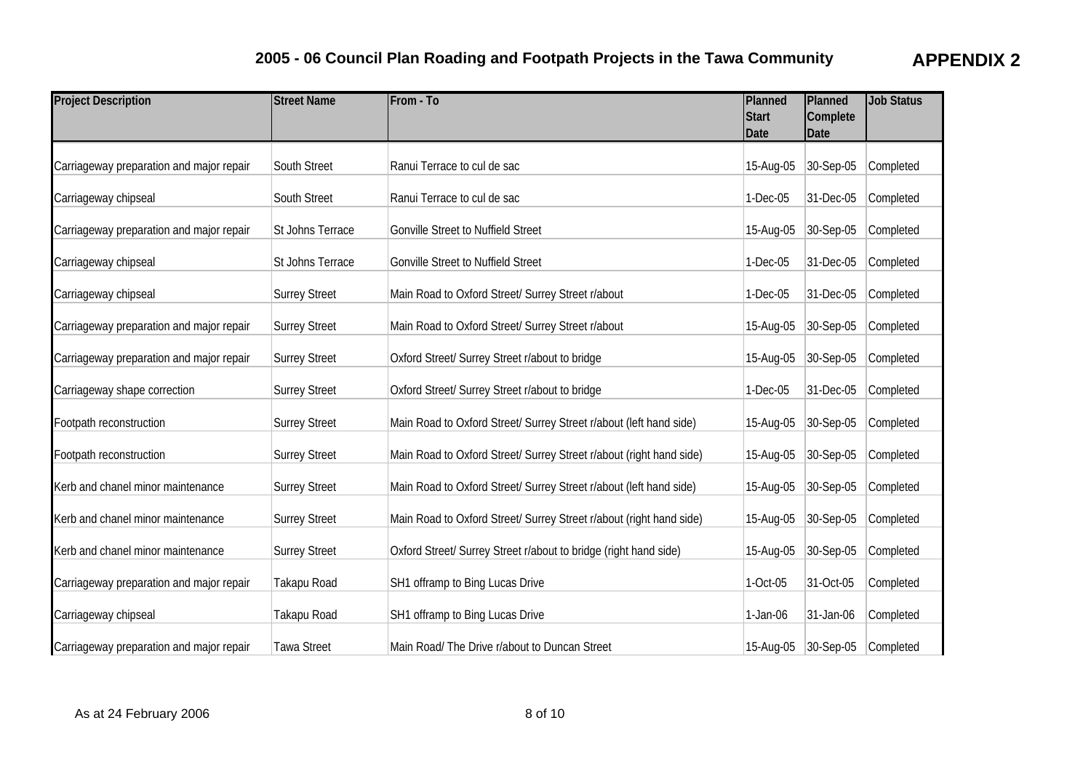| <b>Project Description</b>               | <b>Street Name</b>   | From - To                                                           | Planned<br><b>Start</b><br>Date | Planned<br>Complete<br><b>Date</b> | <b>Job Status</b> |
|------------------------------------------|----------------------|---------------------------------------------------------------------|---------------------------------|------------------------------------|-------------------|
| Carriageway preparation and major repair | South Street         | Ranui Terrace to cul de sac                                         | 15-Aug-05                       | 30-Sep-05                          | Completed         |
| Carriageway chipseal                     | South Street         | Ranui Terrace to cul de sac                                         | 1-Dec-05                        | 31-Dec-05                          | Completed         |
| Carriageway preparation and major repair | St Johns Terrace     | <b>Gonville Street to Nuffield Street</b>                           | 15-Aug-05                       | 30-Sep-05                          | Completed         |
| Carriageway chipseal                     | St Johns Terrace     | Gonville Street to Nuffield Street                                  | 1-Dec-05                        | 31-Dec-05                          | Completed         |
| Carriageway chipseal                     | <b>Surrey Street</b> | Main Road to Oxford Street/ Surrey Street r/about                   | 1-Dec-05                        | 31-Dec-05                          | Completed         |
| Carriageway preparation and major repair | <b>Surrey Street</b> | Main Road to Oxford Street/ Surrey Street r/about                   | 15-Aug-05                       | 30-Sep-05                          | Completed         |
| Carriageway preparation and major repair | <b>Surrey Street</b> | Oxford Street/ Surrey Street r/about to bridge                      | 15-Aug-05                       | 30-Sep-05                          | Completed         |
| Carriageway shape correction             | <b>Surrey Street</b> | Oxford Street/ Surrey Street r/about to bridge                      | 1-Dec-05                        | 31-Dec-05                          | Completed         |
| Footpath reconstruction                  | <b>Surrey Street</b> | Main Road to Oxford Street/ Surrey Street r/about (left hand side)  | 15-Aug-05                       | 30-Sep-05                          | Completed         |
| Footpath reconstruction                  | <b>Surrey Street</b> | Main Road to Oxford Street/ Surrey Street r/about (right hand side) | 15-Aug-05                       | 30-Sep-05                          | Completed         |
| Kerb and chanel minor maintenance        | <b>Surrey Street</b> | Main Road to Oxford Street/ Surrey Street r/about (left hand side)  | 15-Aug-05                       | 30-Sep-05                          | Completed         |
| Kerb and chanel minor maintenance        | <b>Surrey Street</b> | Main Road to Oxford Street/ Surrey Street r/about (right hand side) | 15-Aug-05                       | 30-Sep-05                          | Completed         |
| Kerb and chanel minor maintenance        | <b>Surrey Street</b> | Oxford Street/ Surrey Street r/about to bridge (right hand side)    | 15-Aug-05                       | 30-Sep-05                          | Completed         |
| Carriageway preparation and major repair | Takapu Road          | SH1 offramp to Bing Lucas Drive                                     | 1-Oct-05                        | 31-Oct-05                          | Completed         |
| Carriageway chipseal                     | Takapu Road          | SH1 offramp to Bing Lucas Drive                                     | 1-Jan-06                        | 31-Jan-06                          | Completed         |
| Carriageway preparation and major repair | <b>Tawa Street</b>   | Main Road/ The Drive r/about to Duncan Street                       | 15-Aug-05                       | $ 30-Sep-05 $                      | Completed         |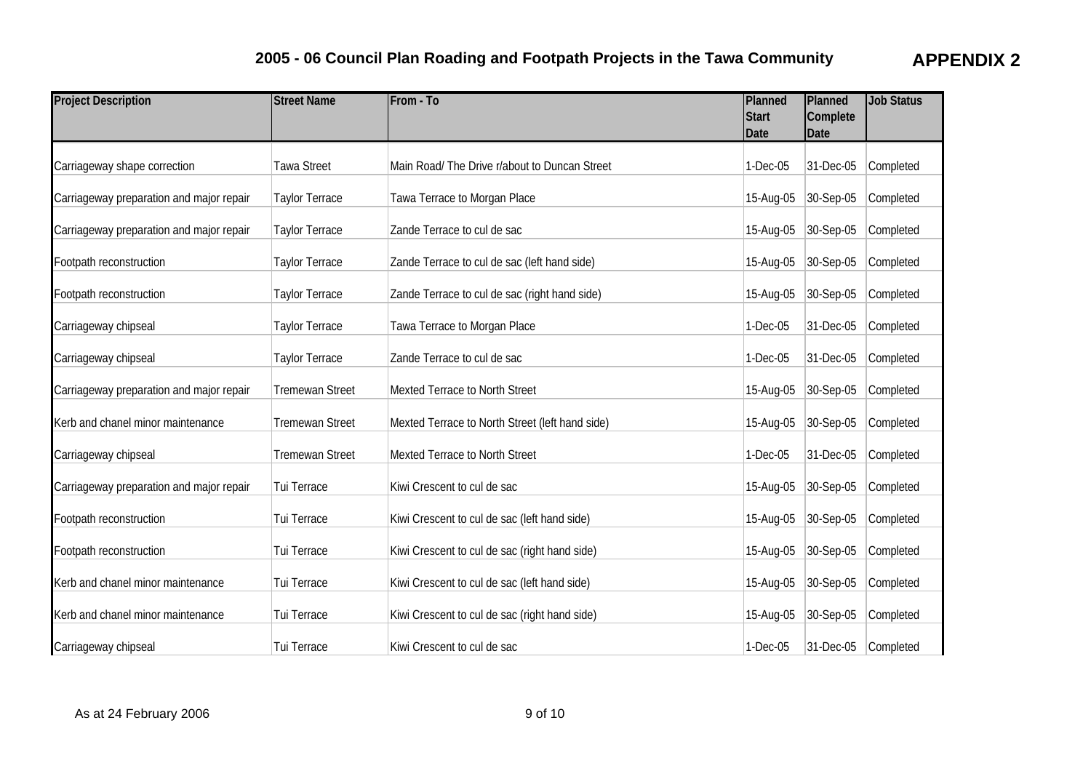| <b>Project Description</b>               | <b>Street Name</b>     | From - To                                       | Planned<br><b>Start</b><br><b>Date</b> | Planned<br>Complete<br>Date | <b>Job Status</b> |
|------------------------------------------|------------------------|-------------------------------------------------|----------------------------------------|-----------------------------|-------------------|
| Carriageway shape correction             | Tawa Street            | Main Road/ The Drive r/about to Duncan Street   | 1-Dec-05                               | 31-Dec-05                   | Completed         |
| Carriageway preparation and major repair | Taylor Terrace         | Tawa Terrace to Morgan Place                    | 15-Aug-05                              | 30-Sep-05                   | Completed         |
| Carriageway preparation and major repair | <b>Taylor Terrace</b>  | Zande Terrace to cul de sac                     | 15-Aug-05                              | 30-Sep-05                   | Completed         |
| Footpath reconstruction                  | Taylor Terrace         | Zande Terrace to cul de sac (left hand side)    | 15-Aug-05                              | 30-Sep-05                   | Completed         |
| Footpath reconstruction                  | Taylor Terrace         | Zande Terrace to cul de sac (right hand side)   | 15-Aug-05                              | 30-Sep-05                   | Completed         |
| Carriageway chipseal                     | Taylor Terrace         | Tawa Terrace to Morgan Place                    | 1-Dec-05                               | 31-Dec-05                   | Completed         |
| Carriageway chipseal                     | Taylor Terrace         | Zande Terrace to cul de sac                     | 1-Dec-05                               | 31-Dec-05                   | Completed         |
| Carriageway preparation and major repair | <b>Tremewan Street</b> | Mexted Terrace to North Street                  | 15-Aug-05                              | $ 30 - \text{Sep-05} $      | Completed         |
| Kerb and chanel minor maintenance        | <b>Tremewan Street</b> | Mexted Terrace to North Street (left hand side) | 15-Aug-05                              | 30-Sep-05                   | Completed         |
| Carriageway chipseal                     | <b>Tremewan Street</b> | Mexted Terrace to North Street                  | 1-Dec-05                               | 31-Dec-05                   | Completed         |
| Carriageway preparation and major repair | Tui Terrace            | Kiwi Crescent to cul de sac                     | 15-Aug-05                              | $ 30-Sep-05 $               | Completed         |
| Footpath reconstruction                  | Tui Terrace            | Kiwi Crescent to cul de sac (left hand side)    | 15-Aug-05                              | 30-Sep-05                   | Completed         |
| Footpath reconstruction                  | Tui Terrace            | Kiwi Crescent to cul de sac (right hand side)   | 15-Aug-05                              | 30-Sep-05                   | Completed         |
| Kerb and chanel minor maintenance        | Tui Terrace            | Kiwi Crescent to cul de sac (left hand side)    | 15-Aug-05                              | 30-Sep-05                   | Completed         |
| Kerb and chanel minor maintenance        | Tui Terrace            | Kiwi Crescent to cul de sac (right hand side)   | 15-Aug-05                              | 30-Sep-05                   | Completed         |
| Carriageway chipseal                     | Tui Terrace            | Kiwi Crescent to cul de sac                     | 1-Dec-05                               | 31-Dec-05                   | Completed         |